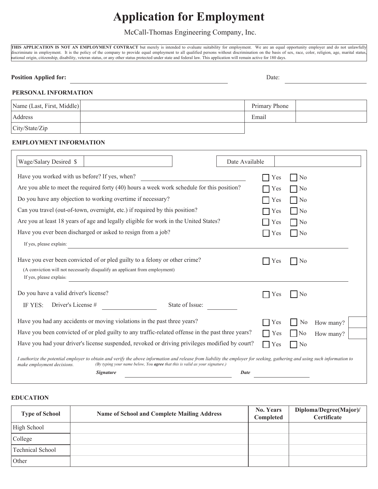# **Application for Employment**

McCall-Thomas Engineering Company, Inc.

THIS APPLICATION IS NOT AN EMPLOYMENT CONTRACT but merely is intended to evaluate suitability for employment. We are an equal opportunity employer and do not unlawfully discriminate in employment. It is the policy of the company to provide equal employment to all qualified persons without discrimination on the basis of sex, race, color, religion, age, marital status, national origin, citizenship, disability, veteran status, or any other status protected under state and federal law. This application will remain active for 180 days.

#### **Position Applied for:** Date: Date: Date: Date: Date: Date: Date: Date: Date: Date: Date: Date: Date: Date: Date: Date: Date: Date: Date: Date: Date: Date: Date: Date: Date: Date: Date: Date: Date: Date: Date: Date: Date:

# **PERSONAL INFORMATION**

| Name (Last, First, Middle) | Primary Phone |  |
|----------------------------|---------------|--|
| Address                    | Email         |  |
| City/State/Zip             |               |  |

### **EMPLOYMENT INFORMATION**

| Wage/Salary Desired \$                                                                                                                                                                                                                                                                          | Date Available |                |           |  |
|-------------------------------------------------------------------------------------------------------------------------------------------------------------------------------------------------------------------------------------------------------------------------------------------------|----------------|----------------|-----------|--|
| Have you worked with us before? If yes, when?                                                                                                                                                                                                                                                   | Yes            | N <sub>0</sub> |           |  |
| Are you able to meet the required forty (40) hours a week work schedule for this position?                                                                                                                                                                                                      | Yes            | N <sub>0</sub> |           |  |
| Do you have any objection to working overtime if necessary?                                                                                                                                                                                                                                     | Yes            | N <sub>0</sub> |           |  |
| Can you travel (out-of-town, overnight, etc.) if required by this position?                                                                                                                                                                                                                     | Yes            | N <sub>0</sub> |           |  |
| Are you at least 18 years of age and legally eligible for work in the United States?                                                                                                                                                                                                            | Yes            | No             |           |  |
| Have you ever been discharged or asked to resign from a job?                                                                                                                                                                                                                                    | Yes            | N <sub>0</sub> |           |  |
| If yes, please explain:                                                                                                                                                                                                                                                                         |                |                |           |  |
| Have you ever been convicted of or pled guilty to a felony or other crime?<br>(A conviction will not necessarily disqualify an applicant from employment)<br>If yes, please explain:                                                                                                            | Yes            | No             |           |  |
| Do you have a valid driver's license?                                                                                                                                                                                                                                                           | Y es           | No             |           |  |
| Driver's License #<br>State of Issue:<br>IF YES:                                                                                                                                                                                                                                                |                |                |           |  |
| Have you had any accidents or moving violations in the past three years?                                                                                                                                                                                                                        | Yes            | N <sub>0</sub> | How many? |  |
| Have you been convicted of or pled guilty to any traffic-related offense in the past three years?                                                                                                                                                                                               | Yes            | No             | How many? |  |
| Have you had your driver's license suspended, revoked or driving privileges modified by court?                                                                                                                                                                                                  | Yes            | N <sub>0</sub> |           |  |
| I authorize the potential employer to obtain and verify the above information and release from liability the employer for seeking, gathering and using such information to<br>(By typing your name below, You <b>agree</b> that this is valid as your signature.)<br>make employment decisions. |                |                |           |  |
| <i>Signature</i>                                                                                                                                                                                                                                                                                | Date           |                |           |  |

#### **EDUCATION**

| <b>Type of School</b> | <b>Name of School and Complete Mailing Address</b> | <b>No. Years</b><br>Completed | Diploma/Degree(Major)/<br>Certificate |
|-----------------------|----------------------------------------------------|-------------------------------|---------------------------------------|
| High School           |                                                    |                               |                                       |
| College               |                                                    |                               |                                       |
| Technical School      |                                                    |                               |                                       |
| Other                 |                                                    |                               |                                       |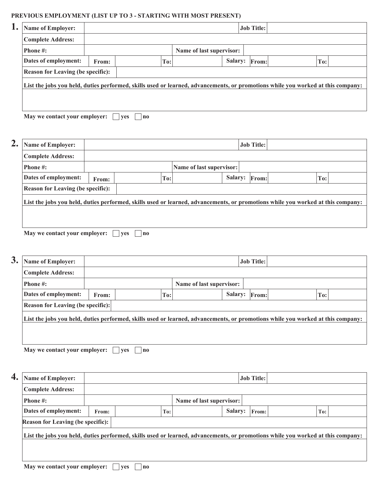#### **PREVIOUS EMPLOYMENT (LIST UP TO 3 - STARTING WITH MOST PRESENT)**

| <b>Name of Employer:</b>                 |       |     |                          | <b>Job Title:</b> |                                                                                                                                 |
|------------------------------------------|-------|-----|--------------------------|-------------------|---------------------------------------------------------------------------------------------------------------------------------|
| <b>Complete Address:</b>                 |       |     |                          |                   |                                                                                                                                 |
| <b>Phone #:</b>                          |       |     | Name of last supervisor: |                   |                                                                                                                                 |
| Dates of employment:                     | From: | To: |                          | Salary: From:     | $T$ o:                                                                                                                          |
| <b>Reason for Leaving (be specific):</b> |       |     |                          |                   |                                                                                                                                 |
|                                          |       |     |                          |                   | List the jobs you held, duties performed, skills used or learned, advancements, or promotions while you worked at this company: |
|                                          |       |     |                          |                   |                                                                                                                                 |
|                                          |       |     |                          |                   |                                                                                                                                 |

| 2. | <b>Name of Employer:</b>                                                                                                        |       |                  |                          |                | <b>Job Title:</b> |     |  |
|----|---------------------------------------------------------------------------------------------------------------------------------|-------|------------------|--------------------------|----------------|-------------------|-----|--|
|    | <b>Complete Address:</b>                                                                                                        |       |                  |                          |                |                   |     |  |
|    | <b>Phone #:</b>                                                                                                                 |       |                  | Name of last supervisor: |                |                   |     |  |
|    | Dates of employment:                                                                                                            | From: | To:              |                          | <b>Salary:</b> | From:             | To: |  |
|    | <b>Reason for Leaving (be specific):</b>                                                                                        |       |                  |                          |                |                   |     |  |
|    | List the jobs you held, duties performed, skills used or learned, advancements, or promotions while you worked at this company: |       |                  |                          |                |                   |     |  |
|    |                                                                                                                                 |       |                  |                          |                |                   |     |  |
|    |                                                                                                                                 |       |                  |                          |                |                   |     |  |
|    | May we contact your employer:                                                                                                   |       | <b>ves</b><br>no |                          |                |                   |     |  |

| 3.<br><b>Name of Employer:</b>           |       |     |                          | <b>Job Title:</b> |                                                                                                                                 |
|------------------------------------------|-------|-----|--------------------------|-------------------|---------------------------------------------------------------------------------------------------------------------------------|
| <b>Complete Address:</b>                 |       |     |                          |                   |                                                                                                                                 |
| <b>Phone #:</b>                          |       |     | Name of last supervisor: |                   |                                                                                                                                 |
| Dates of employment:                     | From: | To: |                          | Salary: From:     | $T_{0}$ :                                                                                                                       |
| <b>Reason for Leaving (be specific):</b> |       |     |                          |                   |                                                                                                                                 |
|                                          |       |     |                          |                   | List the jobs you held, duties performed, skills used or learned, advancements, or promotions while you worked at this company: |
|                                          |       |     |                          |                   |                                                                                                                                 |

**May we contact your employer:**  $\Box$  yes  $\Box$  no

**4. Name of Employer: Job Title: Complete Address: Phone #:** Name of last supervisor: **Dates of employment: From: To: To: To: Salary: From: To: To: Reason for Leaving (be specific): List the jobs you held, duties performed, skills used or learned, advancements, or promotions while you worked at this company:**

**May we contact your employer:** yes and your